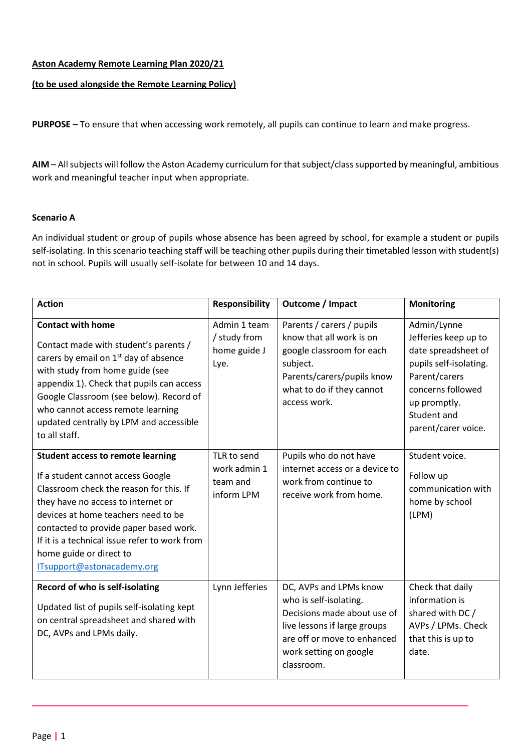## **Aston Academy Remote Learning Plan 2020/21**

## **(to be used alongside the Remote Learning Policy)**

**PURPOSE** – To ensure that when accessing work remotely, all pupils can continue to learn and make progress.

**AIM** – All subjects will follow the Aston Academy curriculum for that subject/class supported by meaningful, ambitious work and meaningful teacher input when appropriate.

## **Scenario A**

An individual student or group of pupils whose absence has been agreed by school, for example a student or pupils self-isolating. In this scenario teaching staff will be teaching other pupils during their timetabled lesson with student(s) not in school. Pupils will usually self-isolate for between 10 and 14 days.

| <b>Action</b>                                                                                                                                                                                                                                                                                                                                             | <b>Responsibility</b>                                 | Outcome / Impact                                                                                                                                                                       | <b>Monitoring</b>                                                                                                                                                                |
|-----------------------------------------------------------------------------------------------------------------------------------------------------------------------------------------------------------------------------------------------------------------------------------------------------------------------------------------------------------|-------------------------------------------------------|----------------------------------------------------------------------------------------------------------------------------------------------------------------------------------------|----------------------------------------------------------------------------------------------------------------------------------------------------------------------------------|
| <b>Contact with home</b><br>Contact made with student's parents /<br>carers by email on 1 <sup>st</sup> day of absence<br>with study from home guide (see<br>appendix 1). Check that pupils can access<br>Google Classroom (see below). Record of<br>who cannot access remote learning<br>updated centrally by LPM and accessible<br>to all staff.        | Admin 1 team<br>/ study from<br>home guide J<br>Lye.  | Parents / carers / pupils<br>know that all work is on<br>google classroom for each<br>subject.<br>Parents/carers/pupils know<br>what to do if they cannot<br>access work.              | Admin/Lynne<br>Jefferies keep up to<br>date spreadsheet of<br>pupils self-isolating.<br>Parent/carers<br>concerns followed<br>up promptly.<br>Student and<br>parent/carer voice. |
| <b>Student access to remote learning</b><br>If a student cannot access Google<br>Classroom check the reason for this. If<br>they have no access to internet or<br>devices at home teachers need to be<br>contacted to provide paper based work.<br>If it is a technical issue refer to work from<br>home guide or direct to<br>ITsupport@astonacademy.org | TLR to send<br>work admin 1<br>team and<br>inform LPM | Pupils who do not have<br>internet access or a device to<br>work from continue to<br>receive work from home.                                                                           | Student voice.<br>Follow up<br>communication with<br>home by school<br>(LPM)                                                                                                     |
| Record of who is self-isolating<br>Updated list of pupils self-isolating kept<br>on central spreadsheet and shared with<br>DC, AVPs and LPMs daily.                                                                                                                                                                                                       | Lynn Jefferies                                        | DC, AVPs and LPMs know<br>who is self-isolating.<br>Decisions made about use of<br>live lessons if large groups<br>are off or move to enhanced<br>work setting on google<br>classroom. | Check that daily<br>information is<br>shared with DC /<br>AVPs / LPMs. Check<br>that this is up to<br>date.                                                                      |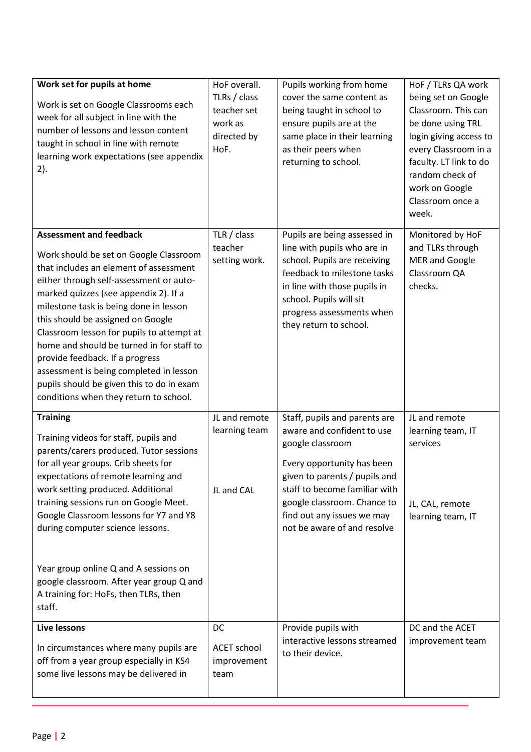| Work set for pupils at home<br>Work is set on Google Classrooms each<br>week for all subject in line with the<br>number of lessons and lesson content<br>taught in school in line with remote<br>learning work expectations (see appendix<br>2).                                                                                                                                                                                                                                                                                                     | HoF overall.<br>TLRs / class<br>teacher set<br>work as<br>directed by<br>HoF. | Pupils working from home<br>cover the same content as<br>being taught in school to<br>ensure pupils are at the<br>same place in their learning<br>as their peers when<br>returning to school.                                                                               | HoF / TLRs QA work<br>being set on Google<br>Classroom. This can<br>be done using TRL<br>login giving access to<br>every Classroom in a<br>faculty. LT link to do<br>random check of<br>work on Google<br>Classroom once a<br>week. |
|------------------------------------------------------------------------------------------------------------------------------------------------------------------------------------------------------------------------------------------------------------------------------------------------------------------------------------------------------------------------------------------------------------------------------------------------------------------------------------------------------------------------------------------------------|-------------------------------------------------------------------------------|-----------------------------------------------------------------------------------------------------------------------------------------------------------------------------------------------------------------------------------------------------------------------------|-------------------------------------------------------------------------------------------------------------------------------------------------------------------------------------------------------------------------------------|
| <b>Assessment and feedback</b><br>Work should be set on Google Classroom<br>that includes an element of assessment<br>either through self-assessment or auto-<br>marked quizzes (see appendix 2). If a<br>milestone task is being done in lesson<br>this should be assigned on Google<br>Classroom lesson for pupils to attempt at<br>home and should be turned in for staff to<br>provide feedback. If a progress<br>assessment is being completed in lesson<br>pupils should be given this to do in exam<br>conditions when they return to school. | TLR / class<br>teacher<br>setting work.                                       | Pupils are being assessed in<br>line with pupils who are in<br>school. Pupils are receiving<br>feedback to milestone tasks<br>in line with those pupils in<br>school. Pupils will sit<br>progress assessments when<br>they return to school.                                | Monitored by HoF<br>and TLRs through<br><b>MER and Google</b><br>Classroom QA<br>checks.                                                                                                                                            |
| <b>Training</b><br>Training videos for staff, pupils and<br>parents/carers produced. Tutor sessions<br>for all year groups. Crib sheets for<br>expectations of remote learning and<br>work setting produced. Additional<br>training sessions run on Google Meet.<br>Google Classroom lessons for Y7 and Y8<br>during computer science lessons.<br>Year group online Q and A sessions on<br>google classroom. After year group Q and<br>A training for: HoFs, then TLRs, then<br>staff.                                                               | JL and remote<br>learning team<br>JL and CAL                                  | Staff, pupils and parents are<br>aware and confident to use<br>google classroom<br>Every opportunity has been<br>given to parents / pupils and<br>staff to become familiar with<br>google classroom. Chance to<br>find out any issues we may<br>not be aware of and resolve | JL and remote<br>learning team, IT<br>services<br>JL, CAL, remote<br>learning team, IT                                                                                                                                              |
| Live lessons<br>In circumstances where many pupils are<br>off from a year group especially in KS4<br>some live lessons may be delivered in                                                                                                                                                                                                                                                                                                                                                                                                           | DC<br><b>ACET school</b><br>improvement<br>team                               | Provide pupils with<br>interactive lessons streamed<br>to their device.                                                                                                                                                                                                     | DC and the ACET<br>improvement team                                                                                                                                                                                                 |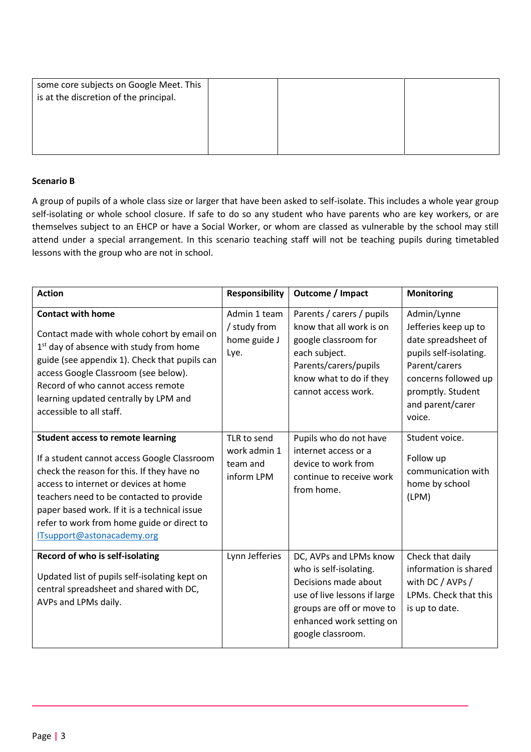| some core subjects on Google Meet. This<br>is at the discretion of the principal. |  |  |
|-----------------------------------------------------------------------------------|--|--|
|                                                                                   |  |  |

## **Scenario B**

A group of pupils of a whole class size or larger that have been asked to self-isolate. This includes a whole year group self-isolating or whole school closure. If safe to do so any student who have parents who are key workers, or are themselves subject to an EHCP or have a Social Worker, or whom are classed as vulnerable by the school may still attend under a special arrangement. In this scenario teaching staff will not be teaching pupils during timetabled lessons with the group who are not in school.

| <b>Action</b>                                                                                                                                                                                                                                                                                                                                          | <b>Responsibility</b>                                 | Outcome / Impact                                                                                                                                                                       | <b>Monitoring</b>                                                                                                                                                                |
|--------------------------------------------------------------------------------------------------------------------------------------------------------------------------------------------------------------------------------------------------------------------------------------------------------------------------------------------------------|-------------------------------------------------------|----------------------------------------------------------------------------------------------------------------------------------------------------------------------------------------|----------------------------------------------------------------------------------------------------------------------------------------------------------------------------------|
| <b>Contact with home</b><br>Contact made with whole cohort by email on<br>1 <sup>st</sup> day of absence with study from home<br>guide (see appendix 1). Check that pupils can<br>access Google Classroom (see below).<br>Record of who cannot access remote<br>learning updated centrally by LPM and<br>accessible to all staff.                      | Admin 1 team<br>/ study from<br>home guide J<br>Lye.  | Parents / carers / pupils<br>know that all work is on<br>google classroom for<br>each subject.<br>Parents/carers/pupils<br>know what to do if they<br>cannot access work.              | Admin/Lynne<br>Jefferies keep up to<br>date spreadsheet of<br>pupils self-isolating.<br>Parent/carers<br>concerns followed up<br>promptly. Student<br>and parent/carer<br>voice. |
| <b>Student access to remote learning</b><br>If a student cannot access Google Classroom<br>check the reason for this. If they have no<br>access to internet or devices at home<br>teachers need to be contacted to provide<br>paper based work. If it is a technical issue<br>refer to work from home guide or direct to<br>ITsupport@astonacademy.org | TLR to send<br>work admin 1<br>team and<br>inform LPM | Pupils who do not have<br>internet access or a<br>device to work from<br>continue to receive work<br>from home.                                                                        | Student voice.<br>Follow up<br>communication with<br>home by school<br>(LPM)                                                                                                     |
| Record of who is self-isolating<br>Updated list of pupils self-isolating kept on<br>central spreadsheet and shared with DC,<br>AVPs and LPMs daily.                                                                                                                                                                                                    | Lynn Jefferies                                        | DC, AVPs and LPMs know<br>who is self-isolating.<br>Decisions made about<br>use of live lessons if large<br>groups are off or move to<br>enhanced work setting on<br>google classroom. | Check that daily<br>information is shared<br>with DC / AVPs /<br>LPMs. Check that this<br>is up to date.                                                                         |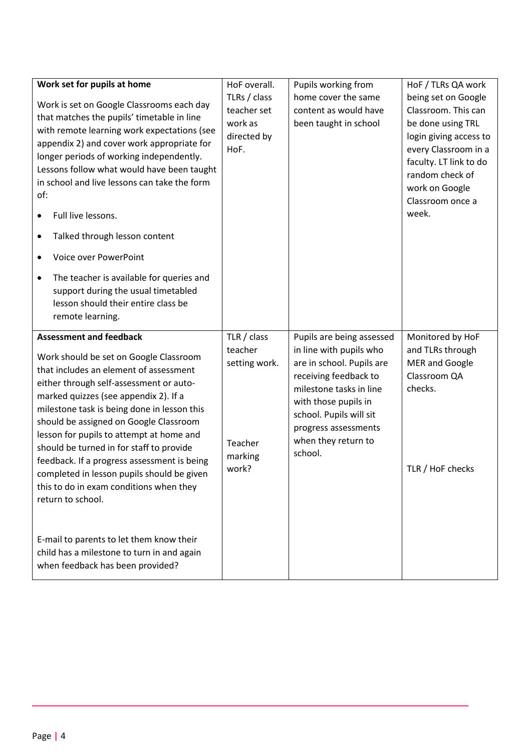| of:<br>٠<br>$\bullet$ | Work set for pupils at home<br>Work is set on Google Classrooms each day<br>that matches the pupils' timetable in line<br>with remote learning work expectations (see<br>appendix 2) and cover work appropriate for<br>longer periods of working independently.<br>Lessons follow what would have been taught<br>in school and live lessons can take the form<br>Full live lessons.<br>Talked through lesson content<br>Voice over PowerPoint<br>The teacher is available for queries and                                                            | HoF overall.<br>TLRs / class<br>teacher set<br>work as<br>directed by<br>HoF. | Pupils working from<br>home cover the same<br>content as would have<br>been taught in school                                                                                                                                                       | HoF / TLRs QA work<br>being set on Google<br>Classroom. This can<br>be done using TRL<br>login giving access to<br>every Classroom in a<br>faculty. LT link to do<br>random check of<br>work on Google<br>Classroom once a<br>week. |
|-----------------------|------------------------------------------------------------------------------------------------------------------------------------------------------------------------------------------------------------------------------------------------------------------------------------------------------------------------------------------------------------------------------------------------------------------------------------------------------------------------------------------------------------------------------------------------------|-------------------------------------------------------------------------------|----------------------------------------------------------------------------------------------------------------------------------------------------------------------------------------------------------------------------------------------------|-------------------------------------------------------------------------------------------------------------------------------------------------------------------------------------------------------------------------------------|
|                       | support during the usual timetabled<br>lesson should their entire class be<br>remote learning.                                                                                                                                                                                                                                                                                                                                                                                                                                                       |                                                                               |                                                                                                                                                                                                                                                    |                                                                                                                                                                                                                                     |
|                       | <b>Assessment and feedback</b><br>Work should be set on Google Classroom<br>that includes an element of assessment<br>either through self-assessment or auto-<br>marked quizzes (see appendix 2). If a<br>milestone task is being done in lesson this<br>should be assigned on Google Classroom<br>lesson for pupils to attempt at home and<br>should be turned in for staff to provide<br>feedback. If a progress assessment is being<br>completed in lesson pupils should be given<br>this to do in exam conditions when they<br>return to school. | TLR / class<br>teacher<br>setting work.<br>Teacher<br>marking<br>work?        | Pupils are being assessed<br>in line with pupils who<br>are in school. Pupils are<br>receiving feedback to<br>milestone tasks in line<br>with those pupils in<br>school. Pupils will sit<br>progress assessments<br>when they return to<br>school. | Monitored by HoF<br>and TLRs through<br><b>MER and Google</b><br>Classroom QA<br>checks.<br>TLR / HoF checks                                                                                                                        |
|                       | E-mail to parents to let them know their<br>child has a milestone to turn in and again                                                                                                                                                                                                                                                                                                                                                                                                                                                               |                                                                               |                                                                                                                                                                                                                                                    |                                                                                                                                                                                                                                     |